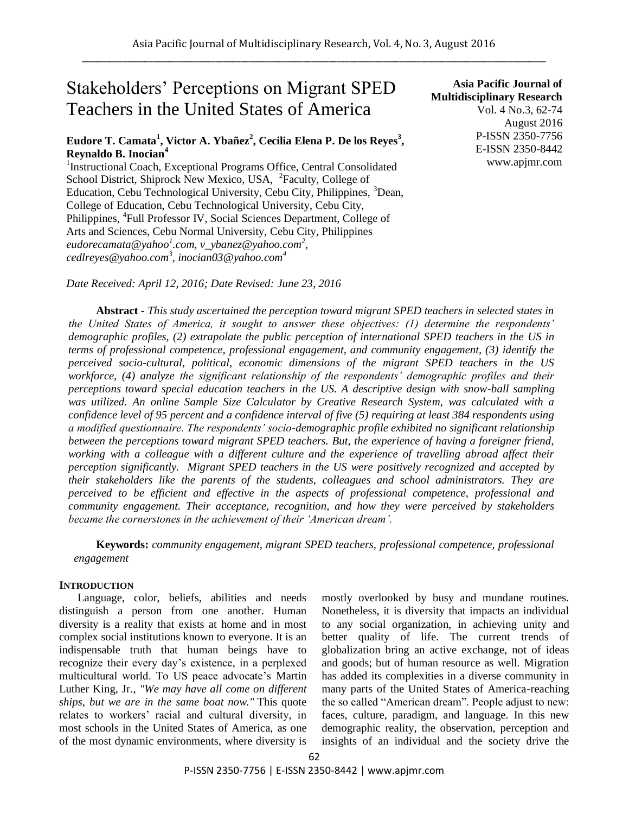# Stakeholders' Perceptions on Migrant SPED Teachers in the United States of America

# **Eudore T. Camata<sup>1</sup> , Victor A. Ybañez<sup>2</sup> , Cecilia Elena P. De los Reyes<sup>3</sup> , Reynaldo B. Inocian<sup>4</sup>**

<sup>1</sup>Instructional Coach, Exceptional Programs Office, Central Consolidated School District, Shiprock New Mexico, USA, <sup>2</sup>Faculty, College of Education, Cebu Technological University, Cebu City, Philippines, <sup>3</sup>Dean, College of Education, Cebu Technological University, Cebu City, Philippines, <sup>4</sup>Full Professor IV, Social Sciences Department, College of Arts and Sciences, Cebu Normal University, Cebu City, Philippines *eudorecamata@yahoo<sup>1</sup> .com, v\_ybanez@yahoo.com<sup>2</sup> , cedlreyes@yahoo.com<sup>3</sup> , inocian03@yahoo.com<sup>4</sup>*

*Date Received: April 12, 2016; Date Revised: June 23, 2016*

**Asia Pacific Journal of Multidisciplinary Research** Vol. 4 No.3, 62-74 August 2016 P-ISSN 2350-7756 E-ISSN 2350-8442 www.apjmr.com

**Abstract -** *This study ascertained the perception toward migrant SPED teachers in selected states in the United States of America, it sought to answer these objectives: (1) determine the respondents" demographic profiles, (2) extrapolate the public perception of international SPED teachers in the US in terms of professional competence, professional engagement, and community engagement, (3) identify the perceived socio-cultural, political, economic dimensions of the migrant SPED teachers in the US workforce, (4) analyze the significant relationship of the respondents" demographic profiles and their perceptions toward special education teachers in the US. A descriptive design with snow-ball sampling was utilized. An online Sample Size Calculator by Creative Research System, was calculated with a confidence level of 95 percent and a confidence interval of five (5) requiring at least 384 respondents using a modified questionnaire. The respondents" socio-demographic profile exhibited no significant relationship between the perceptions toward migrant SPED teachers. But, the experience of having a foreigner friend, working with a colleague with a different culture and the experience of travelling abroad affect their perception significantly. Migrant SPED teachers in the US were positively recognized and accepted by their stakeholders like the parents of the students, colleagues and school administrators. They are perceived to be efficient and effective in the aspects of professional competence, professional and community engagement. Their acceptance, recognition, and how they were perceived by stakeholders became the cornerstones in the achievement of their "American dream".*

**Keywords:** *community engagement, migrant SPED teachers, professional competence, professional engagement*

## **INTRODUCTION**

Language, color, beliefs, abilities and needs distinguish a person from one another. Human diversity is a reality that exists at home and in most complex social institutions known to everyone. It is an indispensable truth that human beings have to recognize their every day's existence, in a perplexed multicultural world. To US peace advocate's Martin Luther King, Jr., *"We may have all come on different ships, but we are in the same boat now."* This quote relates to workers' racial and cultural diversity, in most schools in the United States of America, as one of the most dynamic environments, where diversity is mostly overlooked by busy and mundane routines. Nonetheless, it is diversity that impacts an individual to any social organization, in achieving unity and better quality of life. The current trends of globalization bring an active exchange, not of ideas and goods; but of human resource as well. Migration has added its complexities in a diverse community in many parts of the United States of America-reaching the so called "American dream". People adjust to new: faces, culture, paradigm, and language. In this new demographic reality, the observation, perception and insights of an individual and the society drive the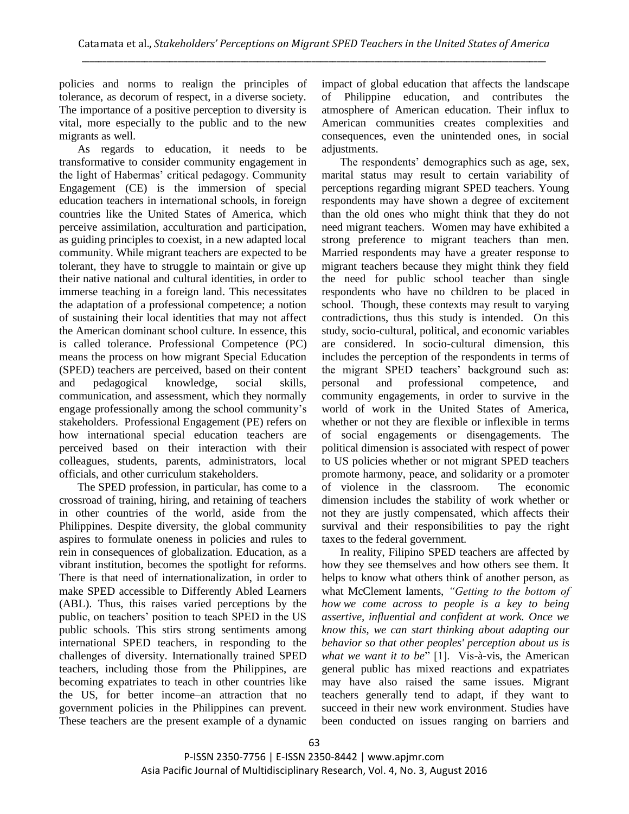policies and norms to realign the principles of tolerance, as decorum of respect, in a diverse society. The importance of a positive perception to diversity is vital, more especially to the public and to the new migrants as well.

As regards to education, it needs to be transformative to consider community engagement in the light of Habermas' critical pedagogy. Community Engagement (CE) is the immersion of special education teachers in international schools, in foreign countries like the United States of America, which perceive assimilation, acculturation and participation, as guiding principles to coexist, in a new adapted local community. While migrant teachers are expected to be tolerant, they have to struggle to maintain or give up their native national and cultural identities, in order to immerse teaching in a foreign land. This necessitates the adaptation of a professional competence; a notion of sustaining their local identities that may not affect the American dominant school culture. In essence, this is called tolerance. Professional Competence (PC) means the process on how migrant Special Education (SPED) teachers are perceived, based on their content and pedagogical knowledge, social skills, communication, and assessment, which they normally engage professionally among the school community's stakeholders. Professional Engagement (PE) refers on how international special education teachers are perceived based on their interaction with their colleagues, students, parents, administrators, local officials, and other curriculum stakeholders.

The SPED profession, in particular, has come to a crossroad of training, hiring, and retaining of teachers in other countries of the world, aside from the Philippines. Despite diversity, the global community aspires to formulate oneness in policies and rules to rein in consequences of globalization. Education, as a vibrant institution, becomes the spotlight for reforms. There is that need of internationalization, in order to make SPED accessible to Differently Abled Learners (ABL). Thus, this raises varied perceptions by the public, on teachers' position to teach SPED in the US public schools. This stirs strong sentiments among international SPED teachers, in responding to the challenges of diversity. Internationally trained SPED teachers, including those from the Philippines, are becoming expatriates to teach in other countries like the US, for better income–an attraction that no government policies in the Philippines can prevent. These teachers are the present example of a dynamic impact of global education that affects the landscape of Philippine education, and contributes the atmosphere of American education. Their influx to American communities creates complexities and consequences, even the unintended ones, in social adjustments.

The respondents' demographics such as age, sex, marital status may result to certain variability of perceptions regarding migrant SPED teachers. Young respondents may have shown a degree of excitement than the old ones who might think that they do not need migrant teachers. Women may have exhibited a strong preference to migrant teachers than men. Married respondents may have a greater response to migrant teachers because they might think they field the need for public school teacher than single respondents who have no children to be placed in school. Though, these contexts may result to varying contradictions, thus this study is intended. On this study, socio-cultural, political, and economic variables are considered. In socio-cultural dimension, this includes the perception of the respondents in terms of the migrant SPED teachers' background such as: personal and professional competence, and community engagements, in order to survive in the world of work in the United States of America, whether or not they are flexible or inflexible in terms of social engagements or disengagements. The political dimension is associated with respect of power to US policies whether or not migrant SPED teachers promote harmony, peace, and solidarity or a promoter of violence in the classroom. The economic dimension includes the stability of work whether or not they are justly compensated, which affects their survival and their responsibilities to pay the right taxes to the federal government.

In reality, Filipino SPED teachers are affected by how they see themselves and how others see them. It helps to know what others think of another person, as what McClement laments, *"Getting to the bottom of how we come across to people is a key to being assertive, influential and confident at work. Once we know this, we can start thinking about adapting our behavior so that other peoples' perception about us is what we want it to be*" [1]. Vis-à-vis, the American general public has mixed reactions and expatriates may have also raised the same issues. Migrant teachers generally tend to adapt, if they want to succeed in their new work environment. Studies have been conducted on issues ranging on barriers and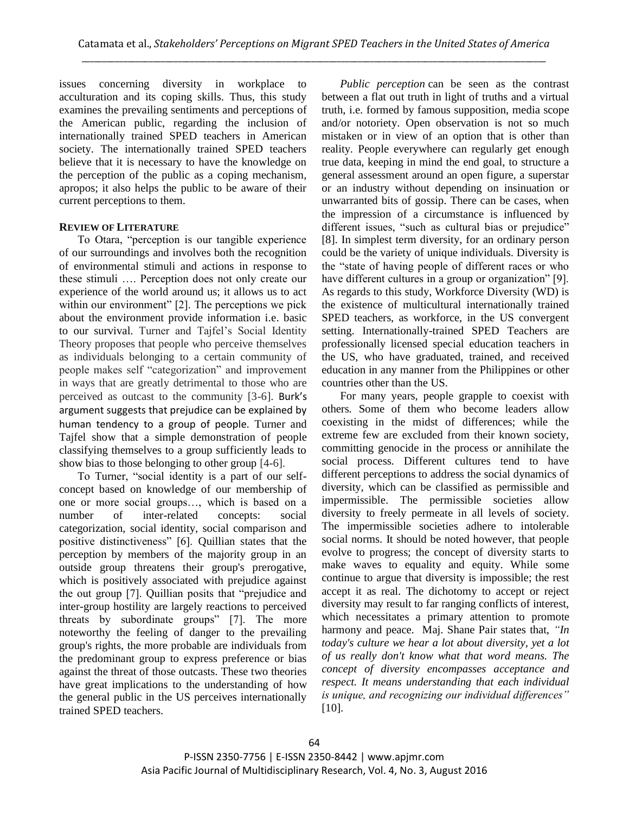issues concerning diversity in workplace to acculturation and its coping skills. Thus, this study examines the prevailing sentiments and perceptions of the American public, regarding the inclusion of internationally trained SPED teachers in American society. The internationally trained SPED teachers believe that it is necessary to have the knowledge on the perception of the public as a coping mechanism, apropos; it also helps the public to be aware of their current perceptions to them.

#### **REVIEW OF LITERATURE**

To Otara, "perception is our tangible experience of our surroundings and involves both the recognition of environmental stimuli and actions in response to these stimuli …. Perception does not only create our experience of the world around us; it allows us to act within our environment"  $[2]$ . The perceptions we pick about the environment provide information i.e. basic to our survival. Turner and Tajfel's Social Identity Theory proposes that people who perceive themselves as individuals belonging to a certain community of people makes self "categorization" and improvement in ways that are greatly detrimental to those who are perceived as outcast to the community [3-6]. Burk's argument suggests that prejudice can be explained by human tendency to a group of people. Turner and Tajfel show that a simple demonstration of people classifying themselves to a group sufficiently leads to show bias to those belonging to other group [4-6].

To Turner, "social identity is a part of our selfconcept based on knowledge of our membership of one or more social groups…, which is based on a number of inter-related concepts: social categorization, social identity, social comparison and positive distinctiveness" [6]. Quillian states that the perception by members of the majority group in an outside group threatens their group's prerogative, which is positively associated with prejudice against the out group [7]. Quillian posits that "prejudice and inter-group hostility are largely reactions to perceived threats by subordinate groups" [7]. The more noteworthy the feeling of danger to the prevailing group's rights, the more probable are individuals from the predominant group to express preference or bias against the threat of those outcasts. These two theories have great implications to the understanding of how the general public in the US perceives internationally trained SPED teachers.

*Public perception* can be seen as the contrast between a flat out truth in light of truths and a virtual truth, i.e. formed by famous supposition, media scope and/or notoriety. Open observation is not so much mistaken or in view of an option that is other than reality. People everywhere can regularly get enough true data, keeping in mind the end goal, to structure a general assessment around an open figure, a superstar or an industry without depending on insinuation or unwarranted bits of gossip. There can be cases, when the impression of a circumstance is influenced by different issues, "such as cultural bias or prejudice" [8]. In simplest term diversity, for an ordinary person could be the variety of unique individuals. Diversity is the "state of having people of different races or who have different cultures in a group or organization" [9]. As regards to this study, Workforce Diversity (WD) is the existence of multicultural internationally trained SPED teachers, as workforce, in the US convergent setting. Internationally-trained SPED Teachers are professionally licensed special education teachers in the US, who have graduated, trained, and received education in any manner from the Philippines or other countries other than the US.

For many years, people grapple to coexist with others. Some of them who become leaders allow coexisting in the midst of differences; while the extreme few are excluded from their known society, committing genocide in the process or annihilate the social process. Different cultures tend to have different perceptions to address the social dynamics of diversity, which can be classified as permissible and impermissible. The permissible societies allow diversity to freely permeate in all levels of society. The impermissible societies adhere to intolerable social norms. It should be noted however, that people evolve to progress; the concept of diversity starts to make waves to equality and equity. While some continue to argue that diversity is impossible; the rest accept it as real. The dichotomy to accept or reject diversity may result to far ranging conflicts of interest, which necessitates a primary attention to promote harmony and peace. Maj. Shane Pair states that, *"In today's culture we hear a lot about diversity, yet a lot of us really don't know what that word means. The concept of diversity encompasses acceptance and respect. It means understanding that each individual is unique, and recognizing our individual differences"* [10].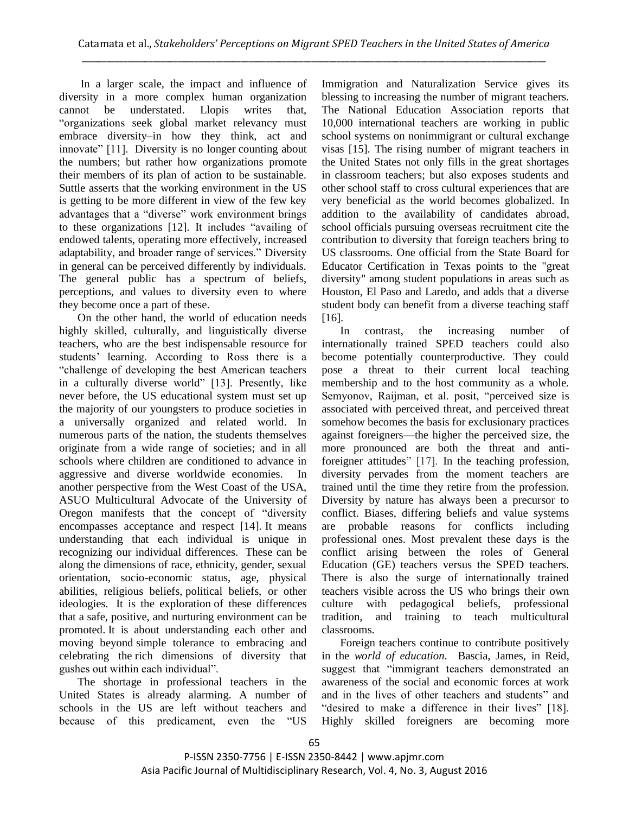In a larger scale, the impact and influence of diversity in a more complex human organization cannot be understated. Llopis writes that, "organizations seek global market relevancy must embrace diversity–in how they think, act and innovate" [11]. Diversity is no longer counting about the numbers; but rather how organizations promote their members of its plan of action to be sustainable. Suttle asserts that the working environment in the US is getting to be more different in view of the few key advantages that a "diverse" work environment brings to these organizations  $[12]$ . It includes "availing of endowed talents, operating more effectively, increased adaptability, and broader range of services." Diversity in general can be perceived differently by individuals. The general public has a spectrum of beliefs, perceptions, and values to diversity even to where they become once a part of these.

On the other hand, the world of education needs highly skilled, culturally, and linguistically diverse teachers, who are the best indispensable resource for students' learning. According to Ross there is a ―challenge of developing the best American teachers in a culturally diverse world" [13]. Presently, like never before, the US educational system must set up the majority of our youngsters to produce societies in a universally organized and related world. In numerous parts of the nation, the students themselves originate from a wide range of societies; and in all schools where children are conditioned to advance in aggressive and diverse worldwide economies. In another perspective from the West Coast of the USA, ASUO Multicultural Advocate of the University of Oregon manifests that the concept of "diversity" encompasses acceptance and respect [14]. It means understanding that each individual is unique in recognizing our individual differences. These can be along the dimensions of race, ethnicity, gender, sexual orientation, socio-economic status, age, physical abilities, religious beliefs, political beliefs, or other ideologies. It is the exploration of these differences that a safe, positive, and nurturing environment can be promoted. It is about understanding each other and moving beyond simple tolerance to embracing and celebrating the rich dimensions of diversity that gushes out within each individual".

The shortage in professional teachers in the United States is already alarming. A number of schools in the US are left without teachers and because of this predicament, even the "US

Immigration and Naturalization Service gives its blessing to increasing the number of migrant teachers. The National Education Association reports that 10,000 international teachers are working in public school systems on nonimmigrant or cultural exchange visas [15]. The rising number of migrant teachers in the United States not only fills in the great shortages in classroom teachers; but also exposes students and other school staff to cross cultural experiences that are very beneficial as the world becomes globalized. In addition to the availability of candidates abroad, school officials pursuing overseas recruitment cite the contribution to diversity that foreign teachers bring to US classrooms. One official from the State Board for Educator Certification in Texas points to the "great diversity" among student populations in areas such as Houston, El Paso and Laredo, and adds that a diverse student body can benefit from a diverse teaching staff [16].

In contrast, the increasing number of internationally trained SPED teachers could also become potentially counterproductive. They could pose a threat to their current local teaching membership and to the host community as a whole. Semyonov, Raijman, et al. posit, "perceived size is associated with perceived threat, and perceived threat somehow becomes the basis for exclusionary practices against foreigners—the higher the perceived size, the more pronounced are both the threat and antiforeigner attitudes" [17]. In the teaching profession, diversity pervades from the moment teachers are trained until the time they retire from the profession. Diversity by nature has always been a precursor to conflict. Biases, differing beliefs and value systems are probable reasons for conflicts including professional ones. Most prevalent these days is the conflict arising between the roles of General Education (GE) teachers versus the SPED teachers. There is also the surge of internationally trained teachers visible across the US who brings their own culture with pedagogical beliefs, professional tradition, and training to teach multicultural classrooms.

Foreign teachers continue to contribute positively in the *world of education.* Bascia, James, in Reid, suggest that "immigrant teachers demonstrated an awareness of the social and economic forces at work and in the lives of other teachers and students" and "desired to make a difference in their lives" [18]. Highly skilled foreigners are becoming more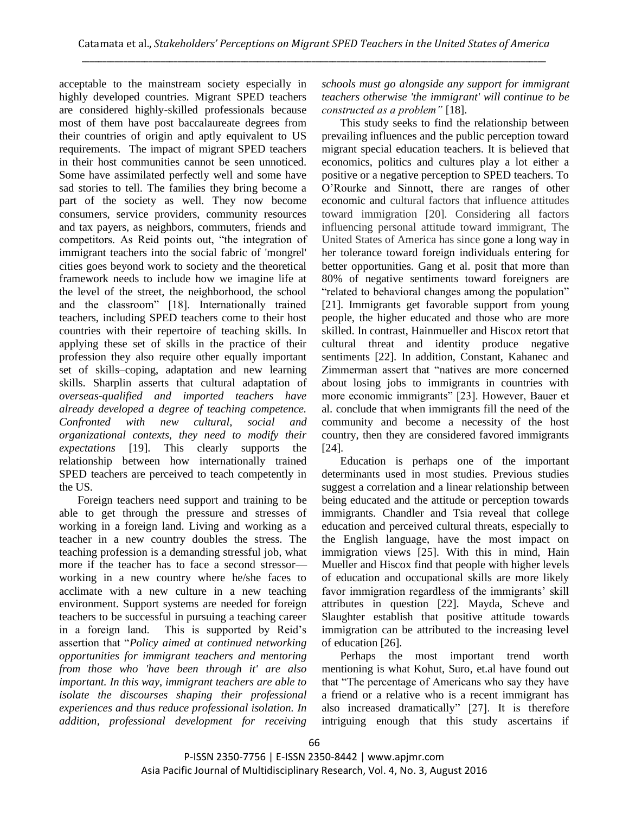acceptable to the mainstream society especially in highly developed countries. Migrant SPED teachers are considered highly-skilled professionals because most of them have post baccalaureate degrees from their countries of origin and aptly equivalent to US requirements. The impact of migrant SPED teachers in their host communities cannot be seen unnoticed. Some have assimilated perfectly well and some have sad stories to tell. The families they bring become a part of the society as well. They now become consumers, service providers, community resources and tax payers, as neighbors, commuters, friends and competitors. As Reid points out, "the integration of immigrant teachers into the social fabric of 'mongrel' cities goes beyond work to society and the theoretical framework needs to include how we imagine life at the level of the street, the neighborhood, the school and the classroom" [18]. Internationally trained teachers, including SPED teachers come to their host countries with their repertoire of teaching skills. In applying these set of skills in the practice of their profession they also require other equally important set of skills–coping, adaptation and new learning skills. Sharplin asserts that cultural adaptation of *overseas-qualified and imported teachers have already developed a degree of teaching competence. Confronted with new cultural, social and organizational contexts, they need to modify their expectations* [19]. This clearly supports the relationship between how internationally trained SPED teachers are perceived to teach competently in the US.

Foreign teachers need support and training to be able to get through the pressure and stresses of working in a foreign land. Living and working as a teacher in a new country doubles the stress. The teaching profession is a demanding stressful job, what more if the teacher has to face a second stressor working in a new country where he/she faces to acclimate with a new culture in a new teaching environment. Support systems are needed for foreign teachers to be successful in pursuing a teaching career in a foreign land. This is supported by Reid's assertion that ―*Policy aimed at continued networking opportunities for immigrant teachers and mentoring from those who 'have been through it' are also important. In this way, immigrant teachers are able to isolate the discourses shaping their professional experiences and thus reduce professional isolation. In addition, professional development for receiving*  *schools must go alongside any support for immigrant teachers otherwise 'the immigrant' will continue to be constructed as a problem"* [18].

This study seeks to find the relationship between prevailing influences and the public perception toward migrant special education teachers. It is believed that economics, politics and cultures play a lot either a positive or a negative perception to SPED teachers. To O'Rourke and Sinnott, there are ranges of other economic and cultural factors that influence attitudes toward immigration [20]. Considering all factors influencing personal attitude toward immigrant, The United States of America has since gone a long way in her tolerance toward foreign individuals entering for better opportunities. Gang et al. posit that more than 80% of negative sentiments toward foreigners are "related to behavioral changes among the population" [21]. Immigrants get favorable support from young people, the higher educated and those who are more skilled. In contrast, Hainmueller and Hiscox retort that cultural threat and identity produce negative sentiments [22]. In addition, Constant, Kahanec and Zimmerman assert that "natives are more concerned about losing jobs to immigrants in countries with more economic immigrants" [23]. However, Bauer et al. conclude that when immigrants fill the need of the community and become a necessity of the host country, then they are considered favored immigrants [24].

Education is perhaps one of the important determinants used in most studies. Previous studies suggest a correlation and a linear relationship between being educated and the attitude or perception towards immigrants. Chandler and Tsia reveal that college education and perceived cultural threats, especially to the English language, have the most impact on immigration views [25]. With this in mind, Hain Mueller and Hiscox find that people with higher levels of education and occupational skills are more likely favor immigration regardless of the immigrants' skill attributes in question [22]. Mayda, Scheve and Slaughter establish that positive attitude towards immigration can be attributed to the increasing level of education [26].

Perhaps the most important trend worth mentioning is what Kohut, Suro, et.al have found out that "The percentage of Americans who say they have a friend or a relative who is a recent immigrant has also increased dramatically" [27]. It is therefore intriguing enough that this study ascertains if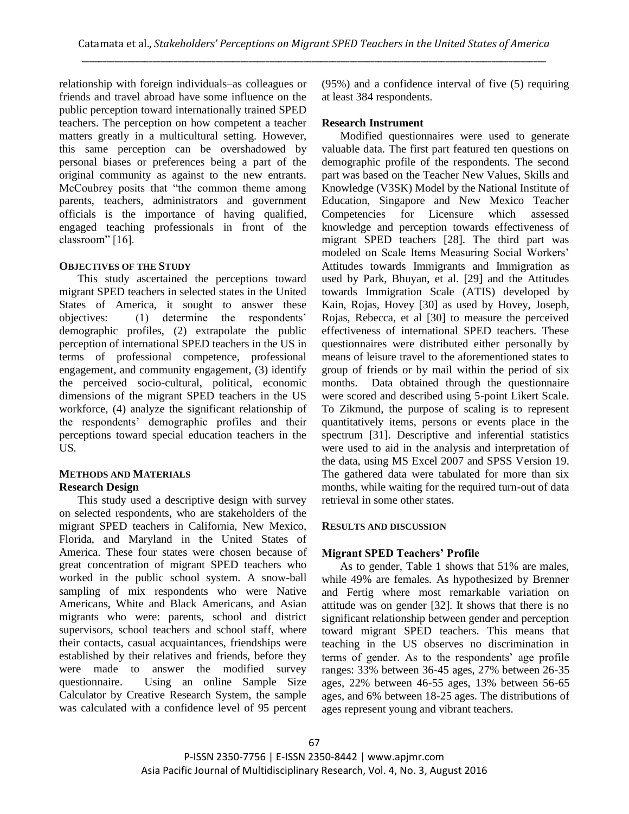relationship with foreign individuals–as colleagues or friends and travel abroad have some influence on the public perception toward internationally trained SPED teachers. The perception on how competent a teacher matters greatly in a multicultural setting. However, this same perception can be overshadowed by personal biases or preferences being a part of the original community as against to the new entrants. McCoubrey posits that "the common theme among parents, teachers, administrators and government officials is the importance of having qualified, engaged teaching professionals in front of the classroom" [16].

#### **OBJECTIVES OF THE STUDY**

This study ascertained the perceptions toward migrant SPED teachers in selected states in the United States of America, it sought to answer these objectives: (1) determine the respondents' demographic profiles, (2) extrapolate the public perception of international SPED teachers in the US in terms of professional competence, professional engagement, and community engagement, (3) identify the perceived socio-cultural, political, economic dimensions of the migrant SPED teachers in the US workforce, (4) analyze the significant relationship of the respondents' demographic profiles and their perceptions toward special education teachers in the US.

#### **METHODS AND MATERIALS Research Design**

This study used a descriptive design with survey on selected respondents, who are stakeholders of the migrant SPED teachers in California, New Mexico, Florida, and Maryland in the United States of America. These four states were chosen because of great concentration of migrant SPED teachers who worked in the public school system. A snow-ball sampling of mix respondents who were Native Americans, White and Black Americans, and Asian migrants who were: parents, school and district supervisors, school teachers and school staff, where their contacts, casual acquaintances, friendships were established by their relatives and friends, before they were made to answer the modified survey questionnaire. Using an online Sample Size Calculator by Creative Research System, the sample was calculated with a confidence level of 95 percent

(95%) and a confidence interval of five (5) requiring at least 384 respondents.

#### **Research Instrument**

Modified questionnaires were used to generate valuable data. The first part featured ten questions on demographic profile of the respondents. The second part was based on the Teacher New Values, Skills and Knowledge (V3SK) Model by the National Institute of Education, Singapore and New Mexico Teacher Competencies for Licensure which assessed knowledge and perception towards effectiveness of migrant SPED teachers [28]. The third part was modeled on Scale Items Measuring Social Workers' Attitudes towards Immigrants and Immigration as used by Park, Bhuyan, et al. [29] and the Attitudes towards Immigration Scale (ATIS) developed by Kain, Rojas, Hovey [30] as used by Hovey, Joseph, Rojas, Rebecca, et al [30] to measure the perceived effectiveness of international SPED teachers. These questionnaires were distributed either personally by means of leisure travel to the aforementioned states to group of friends or by mail within the period of six months. Data obtained through the questionnaire were scored and described using 5-point Likert Scale. To Zikmund, the purpose of scaling is to represent quantitatively items, persons or events place in the spectrum [31]. Descriptive and inferential statistics were used to aid in the analysis and interpretation of the data, using MS Excel 2007 and SPSS Version 19. The gathered data were tabulated for more than six months, while waiting for the required turn-out of data retrieval in some other states.

## **RESULTS AND DISCUSSION**

#### **Migrant SPED Teachers' Profile**

As to gender, Table 1 shows that 51% are males, while 49% are females. As hypothesized by Brenner and Fertig where most remarkable variation on attitude was on gender [32]. It shows that there is no significant relationship between gender and perception toward migrant SPED teachers. This means that teaching in the US observes no discrimination in terms of gender. As to the respondents' age profile ranges: 33% between 36-45 ages, 27% between 26-35 ages, 22% between 46-55 ages, 13% between 56-65 ages, and 6% between 18-25 ages. The distributions of ages represent young and vibrant teachers.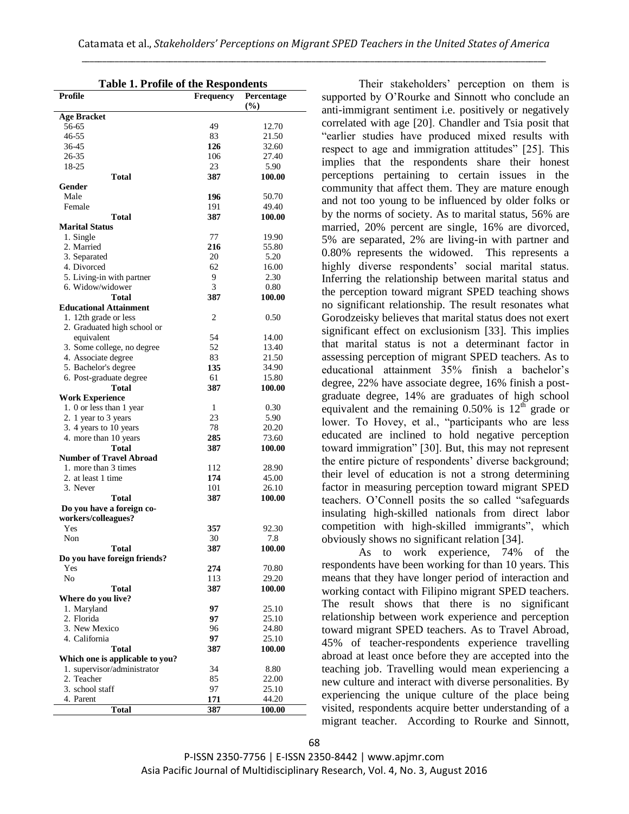| <b>Table 1. Profile of the Respondents</b> |           |               |  |
|--------------------------------------------|-----------|---------------|--|
| Profile                                    | Frequency | Percentage    |  |
|                                            |           | (%)           |  |
| <b>Age Bracket</b>                         |           |               |  |
| 56-65                                      | 49        | 12.70         |  |
| 46-55                                      | 83        | 21.50         |  |
| 36-45                                      | 126       | 32.60         |  |
| 26-35                                      | 106       | 27.40         |  |
| 18-25                                      | 23        | 5.90          |  |
| Total                                      | 387       | 100.00        |  |
| Gender                                     |           |               |  |
| Male                                       | 196       | 50.70         |  |
| Female                                     | 191       | 49.40         |  |
| <b>Total</b>                               | 387       | 100.00        |  |
| <b>Marital Status</b>                      |           |               |  |
| 1. Single<br>2. Married                    | 77<br>216 | 19.90         |  |
|                                            | 20        | 55.80<br>5.20 |  |
| 3. Separated<br>4. Divorced                | 62        | 16.00         |  |
| 5. Living-in with partner                  | 9         | 2.30          |  |
| 6. Widow/widower                           | 3         | 0.80          |  |
| Total                                      | 387       | 100.00        |  |
| <b>Educational Attainment</b>              |           |               |  |
| 1. 12th grade or less                      | 2         | 0.50          |  |
| 2. Graduated high school or                |           |               |  |
| equivalent                                 | 54        | 14.00         |  |
| 3. Some college, no degree                 | 52        | 13.40         |  |
| 4. Associate degree                        | 83        | 21.50         |  |
| 5. Bachelor's degree                       | 135       | 34.90         |  |
| 6. Post-graduate degree                    | 61        | 15.80         |  |
| Total                                      | 387       | 100.00        |  |
| <b>Work Experience</b>                     |           |               |  |
| 1. 0 or less than 1 year                   | 1         | 0.30          |  |
| 2. 1 year to 3 years                       | 23        | 5.90          |  |
| 3. 4 years to 10 years                     | 78        | 20.20         |  |
| 4. more than 10 years                      | 285       | 73.60         |  |
| Total                                      | 387       | 100.00        |  |
| <b>Number of Travel Abroad</b>             |           |               |  |
| 1. more than 3 times                       | 112       | 28.90         |  |
| 2. at least 1 time                         | 174       | 45.00         |  |
| 3. Never                                   | 101       | 26.10         |  |
| <b>Total</b>                               | 387       | 100.00        |  |
| Do you have a foreign co-                  |           |               |  |
| workers/colleagues?                        |           |               |  |
| Yes                                        | 357       | 92.30         |  |
| Non                                        | 30        | $7.8\,$       |  |
| <b>Total</b>                               | 387       | 100.00        |  |
| Do you have foreign friends?               |           |               |  |
| Yes                                        | 274       | 70.80         |  |
| No                                         | 113       | 29.20         |  |
| <b>Total</b>                               | 387       | 100.00        |  |
| Where do you live?                         |           |               |  |
| 1. Maryland                                | 97        | 25.10         |  |
| 2. Florida                                 | 97        | 25.10         |  |
| 3. New Mexico                              | 96        | 24.80         |  |
| 4. California                              | 97        | 25.10         |  |
| Total                                      | 387       | 100.00        |  |
| Which one is applicable to you?            |           |               |  |
| 1. supervisor/administrator                | 34        | 8.80          |  |
| 2. Teacher                                 | 85        | 22.00         |  |
| 3. school staff                            | 97        | 25.10         |  |
| 4. Parent                                  | 171       | 44.20         |  |
| <b>Total</b>                               | 387       | 100.00        |  |

Their stakeholders' perception on them is supported by O'Rourke and Sinnott who conclude an anti-immigrant sentiment i.e. positively or negatively correlated with age [20]. Chandler and Tsia posit that "earlier studies have produced mixed results with respect to age and immigration attitudes" [25]. This implies that the respondents share their honest perceptions pertaining to certain issues in the community that affect them. They are mature enough and not too young to be influenced by older folks or by the norms of society. As to marital status, 56% are married, 20% percent are single, 16% are divorced, 5% are separated, 2% are living-in with partner and 0.80% represents the widowed. This represents a highly diverse respondents' social marital status. Inferring the relationship between marital status and the perception toward migrant SPED teaching shows no significant relationship. The result resonates what Gorodzeisky believes that marital status does not exert significant effect on exclusionism [33]. This implies that marital status is not a determinant factor in assessing perception of migrant SPED teachers. As to educational attainment 35% finish a bachelor's degree, 22% have associate degree, 16% finish a postgraduate degree, 14% are graduates of high school equivalent and the remaining  $0.50\%$  is  $12<sup>th</sup>$  grade or lower. To Hovey, et al., "participants who are less educated are inclined to hold negative perception toward immigration" [30]. But, this may not represent the entire picture of respondents' diverse background; their level of education is not a strong determining factor in measuring perception toward migrant SPED teachers. O'Connell posits the so called "safeguards" insulating high-skilled nationals from direct labor competition with high-skilled immigrants", which obviously shows no significant relation [34].

As to work experience, 74% of the respondents have been working for than 10 years. This means that they have longer period of interaction and working contact with Filipino migrant SPED teachers. The result shows that there is no significant relationship between work experience and perception toward migrant SPED teachers. As to Travel Abroad, 45% of teacher-respondents experience travelling abroad at least once before they are accepted into the teaching job. Travelling would mean experiencing a new culture and interact with diverse personalities. By experiencing the unique culture of the place being visited, respondents acquire better understanding of a migrant teacher. According to Rourke and Sinnott,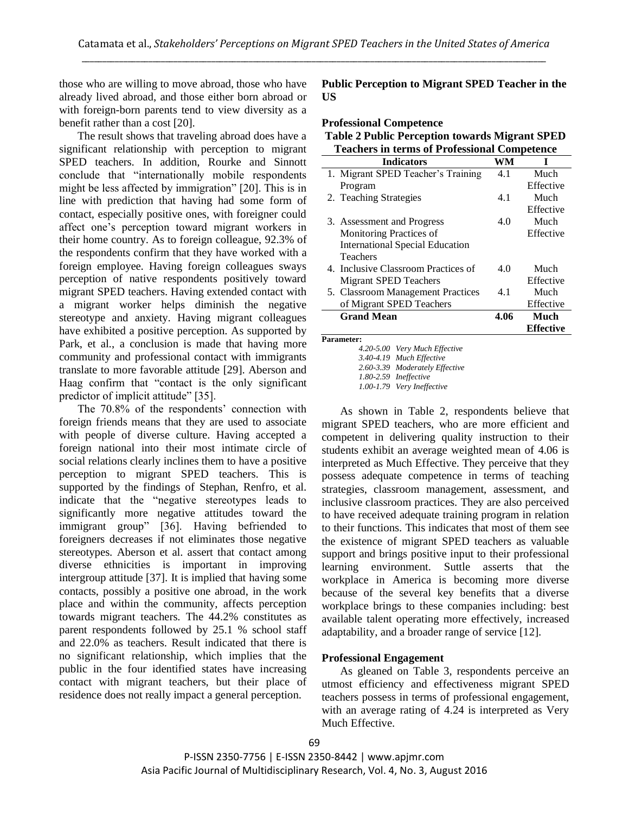those who are willing to move abroad, those who have already lived abroad, and those either born abroad or with foreign-born parents tend to view diversity as a benefit rather than a cost [20].

The result shows that traveling abroad does have a significant relationship with perception to migrant SPED teachers. In addition, Rourke and Sinnott conclude that "internationally mobile respondents" might be less affected by immigration" [20]. This is in line with prediction that having had some form of contact, especially positive ones, with foreigner could affect one's perception toward migrant workers in their home country. As to foreign colleague, 92.3% of the respondents confirm that they have worked with a foreign employee. Having foreign colleagues sways perception of native respondents positively toward migrant SPED teachers. Having extended contact with a migrant worker helps diminish the negative stereotype and anxiety. Having migrant colleagues have exhibited a positive perception. As supported by Park, et al., a conclusion is made that having more community and professional contact with immigrants translate to more favorable attitude [29]. Aberson and Haag confirm that "contact is the only significant" predictor of implicit attitude" [35].

The 70.8% of the respondents' connection with foreign friends means that they are used to associate with people of diverse culture. Having accepted a foreign national into their most intimate circle of social relations clearly inclines them to have a positive perception to migrant SPED teachers. This is supported by the findings of Stephan, Renfro, et al. indicate that the "negative stereotypes leads to significantly more negative attitudes toward the immigrant group" [36]. Having befriended to foreigners decreases if not eliminates those negative stereotypes. Aberson et al. assert that contact among diverse ethnicities is important in improving intergroup attitude [37]. It is implied that having some contacts, possibly a positive one abroad, in the work place and within the community, affects perception towards migrant teachers. The 44.2% constitutes as parent respondents followed by 25.1 % school staff and 22.0% as teachers. Result indicated that there is no significant relationship, which implies that the public in the four identified states have increasing contact with migrant teachers, but their place of residence does not really impact a general perception.

**Public Perception to Migrant SPED Teacher in the US**

**Professional Competence**

**Table 2 Public Perception towards Migrant SPED Teachers in terms of Professional Competence**

| Teachers in terms of Professional Competence |      |                  |
|----------------------------------------------|------|------------------|
| <b>Indicators</b>                            | WM   | I                |
| 1. Migrant SPED Teacher's Training           | 4.1  | Much             |
| Program                                      |      | Effective        |
| 2. Teaching Strategies                       | 4.1  | Much             |
|                                              |      | Effective        |
| 3. Assessment and Progress                   | 4.0  | Much             |
| <b>Monitoring Practices of</b>               |      | Effective        |
| <b>International Special Education</b>       |      |                  |
| Teachers                                     |      |                  |
| 4. Inclusive Classroom Practices of          | 4.0  | Much             |
| <b>Migrant SPED Teachers</b>                 |      | Effective        |
| 5. Classroom Management Practices            | 4.1  | Much             |
| of Migrant SPED Teachers                     |      | Effective        |
| <b>Grand Mean</b>                            | 4.06 | Much             |
|                                              |      | <b>Effective</b> |
| Parameter:                                   |      |                  |
| 4.20-5.00 Very Much Effective                |      |                  |
| 3.40-4.19 Much Effective                     |      |                  |

*2.60-3.39 Moderately Effective 1.80-2.59 Ineffective 1.00-1.79 Very Ineffective*

As shown in Table 2, respondents believe that migrant SPED teachers, who are more efficient and competent in delivering quality instruction to their students exhibit an average weighted mean of 4.06 is interpreted as Much Effective. They perceive that they possess adequate competence in terms of teaching strategies, classroom management, assessment, and inclusive classroom practices. They are also perceived to have received adequate training program in relation to their functions. This indicates that most of them see the existence of migrant SPED teachers as valuable support and brings positive input to their professional learning environment. Suttle asserts that the workplace in America is becoming more diverse because of the several key benefits that a diverse workplace brings to these companies including: best available talent operating more effectively, increased adaptability, and a broader range of service [12].

## **Professional Engagement**

As gleaned on Table 3, respondents perceive an utmost efficiency and effectiveness migrant SPED teachers possess in terms of professional engagement, with an average rating of 4.24 is interpreted as Very Much Effective.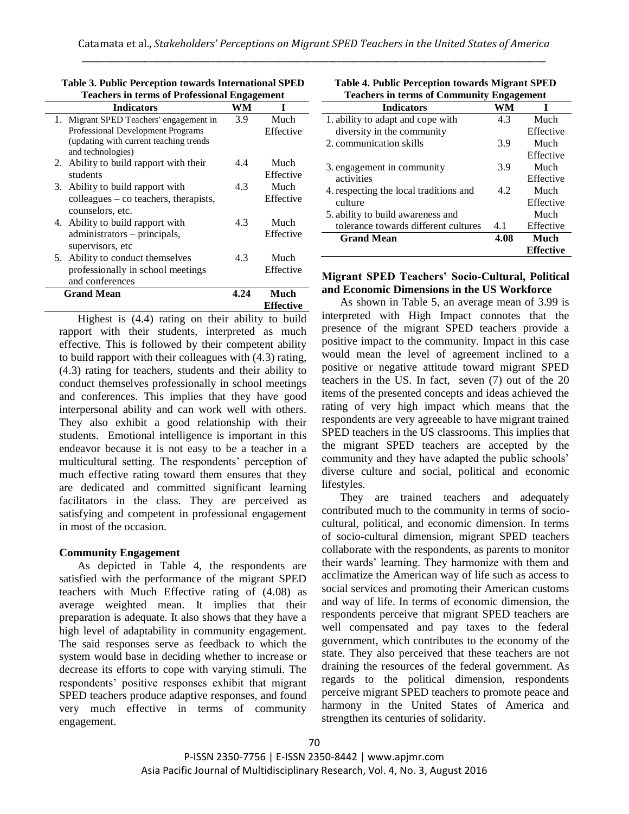| <b>Teachers in terms of Professional Engagement</b> |      |                  |
|-----------------------------------------------------|------|------------------|
| <b>Indicators</b>                                   | WМ   |                  |
| 1. Migrant SPED Teachers' engagement in             | 3.9  | Much             |
| Professional Development Programs                   |      | Effective        |
| (updating with current teaching trends)             |      |                  |
| and technologies)                                   |      |                  |
| 2. Ability to build rapport with their              | 4.4  | Much             |
| students                                            |      | Effective        |
| 3. Ability to build rapport with                    | 4.3  | Much             |
| colleagues – co teachers, therapists,               |      | Effective        |
| counselors, etc.                                    |      |                  |
| 4. Ability to build rapport with                    | 4.3  | Much             |
| administrators – principals,                        |      | Effective        |
| supervisors, etc                                    |      |                  |
| Ability to conduct themselves<br>5.                 | 4.3  | Much             |
| professionally in school meetings                   |      | Effective        |
| and conferences                                     |      |                  |
| <b>Grand Mean</b>                                   | 4.24 | Much             |
|                                                     |      | <b>Effective</b> |

**Table 3. Public Perception towards International SPED Teachers in terms of Professional Engagement**

Highest is (4.4) rating on their ability to build rapport with their students, interpreted as much effective. This is followed by their competent ability to build rapport with their colleagues with (4.3) rating, (4.3) rating for teachers, students and their ability to conduct themselves professionally in school meetings and conferences. This implies that they have good interpersonal ability and can work well with others. They also exhibit a good relationship with their students. Emotional intelligence is important in this endeavor because it is not easy to be a teacher in a multicultural setting. The respondents' perception of much effective rating toward them ensures that they are dedicated and committed significant learning facilitators in the class. They are perceived as satisfying and competent in professional engagement in most of the occasion.

## **Community Engagement**

As depicted in Table 4, the respondents are satisfied with the performance of the migrant SPED teachers with Much Effective rating of (4.08) as average weighted mean. It implies that their preparation is adequate. It also shows that they have a high level of adaptability in community engagement. The said responses serve as feedback to which the system would base in deciding whether to increase or decrease its efforts to cope with varying stimuli. The respondents' positive responses exhibit that migrant SPED teachers produce adaptive responses, and found very much effective in terms of community engagement.

| <b>Table 4. Public Perception towards Migrant SPED</b> |  |
|--------------------------------------------------------|--|
| <b>Teachers in terms of Community Engagement</b>       |  |

| теасисто не сегию от сопинаниту видадението |      |                  |  |
|---------------------------------------------|------|------------------|--|
| <b>Indicators</b>                           | WM   | I                |  |
| 1. ability to adapt and cope with           | 4.3  | Much             |  |
| diversity in the community                  |      | Effective        |  |
| 2. communication skills                     | 3.9  | Much             |  |
|                                             |      | Effective        |  |
| 3. engagement in community                  | 3.9  | Much             |  |
| activities                                  |      | Effective        |  |
| 4. respecting the local traditions and      | 4.2  | Much             |  |
| culture                                     |      | Effective        |  |
| 5. ability to build awareness and           |      | Much             |  |
| tolerance towards different cultures        | 4.1  | Effective        |  |
| <b>Grand Mean</b>                           | 4.08 | Much             |  |
|                                             |      | <b>Effective</b> |  |

#### **Migrant SPED Teachers' Socio-Cultural, Political and Economic Dimensions in the US Workforce**

As shown in Table 5, an average mean of 3.99 is interpreted with High Impact connotes that the presence of the migrant SPED teachers provide a positive impact to the community. Impact in this case would mean the level of agreement inclined to a positive or negative attitude toward migrant SPED teachers in the US. In fact, seven (7) out of the 20 items of the presented concepts and ideas achieved the rating of very high impact which means that the respondents are very agreeable to have migrant trained SPED teachers in the US classrooms. This implies that the migrant SPED teachers are accepted by the community and they have adapted the public schools' diverse culture and social, political and economic lifestyles.

They are trained teachers and adequately contributed much to the community in terms of sociocultural, political, and economic dimension. In terms of socio-cultural dimension, migrant SPED teachers collaborate with the respondents, as parents to monitor their wards' learning. They harmonize with them and acclimatize the American way of life such as access to social services and promoting their American customs and way of life. In terms of economic dimension, the respondents perceive that migrant SPED teachers are well compensated and pay taxes to the federal government, which contributes to the economy of the state. They also perceived that these teachers are not draining the resources of the federal government. As regards to the political dimension, respondents perceive migrant SPED teachers to promote peace and harmony in the United States of America and strengthen its centuries of solidarity.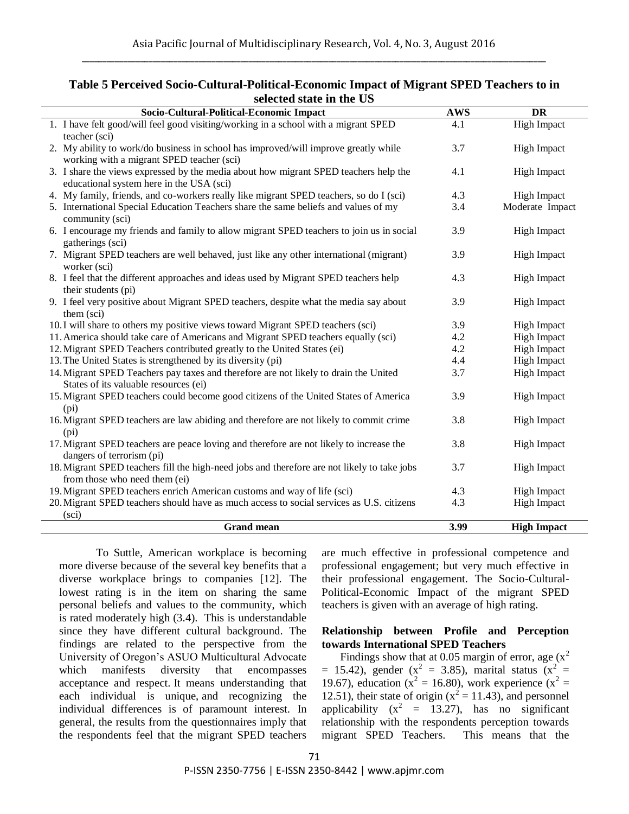| Socio-Cultural-Political-Economic Impact                                                    | <b>AWS</b> | <b>DR</b>          |
|---------------------------------------------------------------------------------------------|------------|--------------------|
| 1. I have felt good/will feel good visiting/working in a school with a migrant SPED         | 4.1        | <b>High Impact</b> |
| teacher (sci)                                                                               |            |                    |
| 2. My ability to work/do business in school has improved/will improve greatly while         | 3.7        | <b>High Impact</b> |
| working with a migrant SPED teacher (sci)                                                   |            |                    |
| 3. I share the views expressed by the media about how migrant SPED teachers help the        | 4.1        | <b>High Impact</b> |
| educational system here in the USA (sci)                                                    |            |                    |
| 4. My family, friends, and co-workers really like migrant SPED teachers, so do I (sci)      | 4.3        | <b>High Impact</b> |
| 5. International Special Education Teachers share the same beliefs and values of my         | 3.4        | Moderate Impact    |
| community (sci)                                                                             |            |                    |
| 6. I encourage my friends and family to allow migrant SPED teachers to join us in social    | 3.9        | <b>High Impact</b> |
| gatherings (sci)                                                                            |            |                    |
| 7. Migrant SPED teachers are well behaved, just like any other international (migrant)      | 3.9        | <b>High Impact</b> |
| worker (sci)                                                                                |            |                    |
| 8. I feel that the different approaches and ideas used by Migrant SPED teachers help        | 4.3        | <b>High Impact</b> |
| their students (pi)                                                                         |            |                    |
| 9. I feel very positive about Migrant SPED teachers, despite what the media say about       | 3.9        | <b>High Impact</b> |
| them (sci)                                                                                  |            |                    |
| 10. I will share to others my positive views toward Migrant SPED teachers (sci)             | 3.9        | <b>High Impact</b> |
| 11. America should take care of Americans and Migrant SPED teachers equally (sci)           | 4.2        | <b>High Impact</b> |
| 12. Migrant SPED Teachers contributed greatly to the United States (ei)                     | 4.2        | <b>High Impact</b> |
| 13. The United States is strengthened by its diversity (pi)                                 | 4.4        | <b>High Impact</b> |
| 14. Migrant SPED Teachers pay taxes and therefore are not likely to drain the United        | 3.7        | <b>High Impact</b> |
| States of its valuable resources (ei)                                                       |            |                    |
| 15. Migrant SPED teachers could become good citizens of the United States of America        | 3.9        | <b>High Impact</b> |
| (p <sub>i</sub> )                                                                           |            |                    |
| 16. Migrant SPED teachers are law abiding and therefore are not likely to commit crime      | 3.8        | <b>High Impact</b> |
| (p <sub>i</sub> )                                                                           |            |                    |
| 17. Migrant SPED teachers are peace loving and therefore are not likely to increase the     | 3.8        | <b>High Impact</b> |
| dangers of terrorism (pi)                                                                   |            |                    |
| 18. Migrant SPED teachers fill the high-need jobs and therefore are not likely to take jobs | 3.7        | <b>High Impact</b> |
| from those who need them (ei)                                                               |            |                    |
| 19. Migrant SPED teachers enrich American customs and way of life (sci)                     | 4.3        | <b>High Impact</b> |
| 20. Migrant SPED teachers should have as much access to social services as U.S. citizens    | 4.3        | <b>High Impact</b> |
| (sci)                                                                                       |            |                    |
| <b>Grand mean</b>                                                                           | 3.99       | <b>High Impact</b> |

# **Table 5 Perceived Socio-Cultural-Political-Economic Impact of Migrant SPED Teachers to in selected state in the US**

To Suttle, American workplace is becoming more diverse because of the several key benefits that a diverse workplace brings to companies [12]. The lowest rating is in the item on sharing the same personal beliefs and values to the community, which is rated moderately high (3.4). This is understandable since they have different cultural background. The findings are related to the perspective from the University of Oregon's ASUO Multicultural Advocate which manifests diversity that encompasses acceptance and respect. It means understanding that each individual is unique, and recognizing the individual differences is of paramount interest. In general, the results from the questionnaires imply that the respondents feel that the migrant SPED teachers are much effective in professional competence and professional engagement; but very much effective in their professional engagement. The Socio-Cultural-Political-Economic Impact of the migrant SPED teachers is given with an average of high rating.

## **Relationship between Profile and Perception towards International SPED Teachers**

Findings show that at 0.05 margin of error, age  $(x^2)$  $= 15.42$ ), gender (x<sup>2</sup> = 3.85), marital status (x<sup>2</sup> = 19.67), education ( $x^2 = 16.80$ ), work experience ( $x^2 = 16.80$ ) 12.51), their state of origin  $(x^2 = 11.43)$ , and personnel applicability  $(x^2 = 13.27)$ , has no significant relationship with the respondents perception towards migrant SPED Teachers. This means that the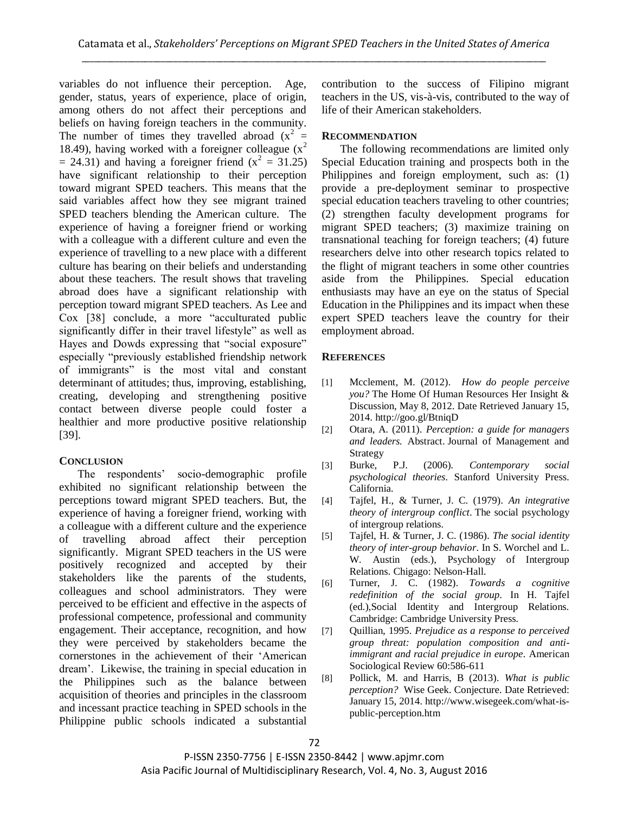variables do not influence their perception. Age, gender, status, years of experience, place of origin, among others do not affect their perceptions and beliefs on having foreign teachers in the community. The number of times they travelled abroad  $(x^2)$  = 18.49), having worked with a foreigner colleague  $(x^2)$  $=$  24.31) and having a foreigner friend ( $x^2 = 31.25$ ) have significant relationship to their perception toward migrant SPED teachers. This means that the said variables affect how they see migrant trained SPED teachers blending the American culture. The experience of having a foreigner friend or working with a colleague with a different culture and even the experience of travelling to a new place with a different culture has bearing on their beliefs and understanding about these teachers. The result shows that traveling abroad does have a significant relationship with perception toward migrant SPED teachers. As Lee and  $Cox$  [38] conclude, a more "acculturated public significantly differ in their travel lifestyle" as well as Hayes and Dowds expressing that "social exposure" especially "previously established friendship network of immigrants" is the most vital and constant determinant of attitudes; thus, improving, establishing, creating, developing and strengthening positive contact between diverse people could foster a healthier and more productive positive relationship [39].

# **CONCLUSION**

The respondents' socio-demographic profile exhibited no significant relationship between the perceptions toward migrant SPED teachers. But, the experience of having a foreigner friend, working with a colleague with a different culture and the experience of travelling abroad affect their perception significantly. Migrant SPED teachers in the US were positively recognized and accepted by their stakeholders like the parents of the students, colleagues and school administrators. They were perceived to be efficient and effective in the aspects of professional competence, professional and community engagement. Their acceptance, recognition, and how they were perceived by stakeholders became the cornerstones in the achievement of their 'American dream'. Likewise, the training in special education in the Philippines such as the balance between acquisition of theories and principles in the classroom and incessant practice teaching in SPED schools in the Philippine public schools indicated a substantial

contribution to the success of Filipino migrant teachers in the US, vis-à-vis, contributed to the way of life of their American stakeholders.

# **RECOMMENDATION**

The following recommendations are limited only Special Education training and prospects both in the Philippines and foreign employment, such as: (1) provide a pre-deployment seminar to prospective special education teachers traveling to other countries; (2) strengthen faculty development programs for migrant SPED teachers; (3) maximize training on transnational teaching for foreign teachers; (4) future researchers delve into other research topics related to the flight of migrant teachers in some other countries aside from the Philippines. Special education enthusiasts may have an eye on the status of Special Education in the Philippines and its impact when these expert SPED teachers leave the country for their employment abroad.

# **REFERENCES**

- [1] Mcclement, M. (2012). *How do people perceive you?* The Home Of Human Resources Her Insight & Discussion, May 8, 2012. Date Retrieved January 15, 2014. http://goo.gl/BtniqD
- [2] Otara, A. (2011). *Perception: a guide for managers and leaders.* Abstract. Journal of Management and Strategy
- [3] Burke, P.J. (2006). *Contemporary social psychological theories*. Stanford University Press. California.
- [4] Tajfel, H., & Turner, J. C. (1979). *An integrative theory of intergroup conflict*. The social psychology of intergroup relations.
- [5] Tajfel, H. & Turner, J. C. (1986). *The social identity theory of inter-group behavior*. In S. Worchel and L. W. Austin (eds.), Psychology of Intergroup Relations. Chigago: Nelson-Hall.
- [6] Turner, J. C. (1982). *Towards a cognitive redefinition of the social group*. In H. Tajfel (ed.),Social Identity and Intergroup Relations. Cambridge: Cambridge University Press.
- [7] Quillian, 1995. *Prejudice as a response to perceived group threat: population composition and antiimmigrant and racial prejudice in europe*. American Sociological Review 60:586-611
- [8] Pollick, M. and Harris, B (2013). *What is public perception?* Wise Geek. Conjecture. Date Retrieved: January 15, 2014. http://www.wisegeek.com/what-ispublic-perception.htm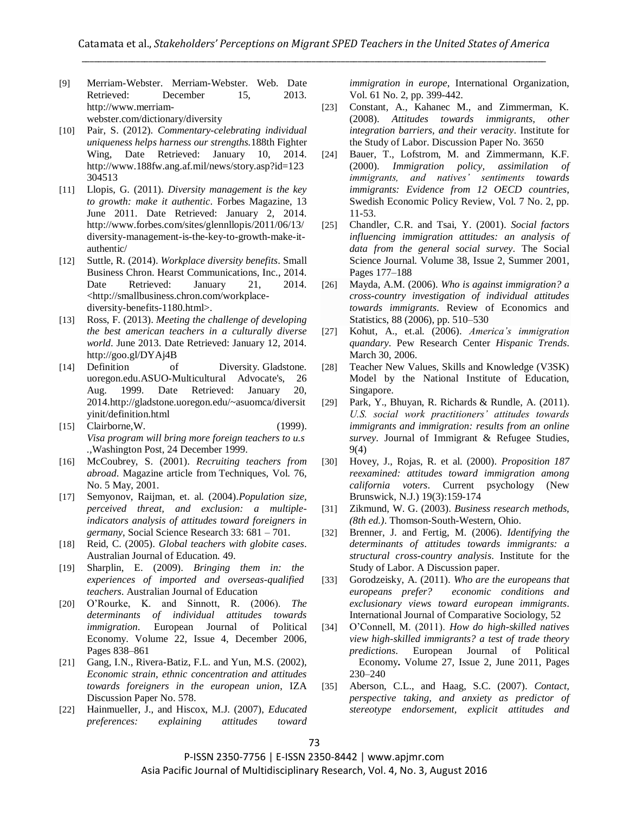[9] Merriam-Webster. Merriam-Webster. Web. Date Retrieved: December 15, 2013. http://www.merriam-

webster.com/dictionary/diversity

- [10] Pair, S. (2012). *Commentary-celebrating individual uniqueness helps harness our strengths.*188th Fighter Wing, Date Retrieved: January 10, 2014. http://www.188fw.ang.af.mil/news/story.asp?id=123 304513
- [11] Llopis, G. (2011). *Diversity management is the key to growth: make it authentic*. Forbes Magazine, 13 June 2011. Date Retrieved: January 2, 2014. http://www.forbes.com/sites/glennllopis/2011/06/13/ diversity-management-is-the-key-to-growth-make-itauthentic/
- [12] Suttle, R. (2014). *Workplace diversity benefits*. Small Business Chron. Hearst Communications, Inc., 2014. Date Retrieved: January 21, 2014. <http://smallbusiness.chron.com/workplacediversity-benefits-1180.html>.
- [13] Ross, F. (2013). *Meeting the challenge of developing the best american teachers in a culturally diverse world*. June 2013. Date Retrieved: January 12, 2014. http://goo.gl/DYAj4B
- [14] Definition of Diversity. Gladstone. uoregon.edu.ASUO-Multicultural Advocate's, 26 Aug. 1999. Date Retrieved: January 20, 2014.http://gladstone.uoregon.edu/~asuomca/diversit yinit/definition.html
- [15] Clairborne, W. (1999). *Visa program will bring more foreign teachers to u.s .,*Washington Post, 24 December 1999.
- [16] McCoubrey, S. (2001). *Recruiting teachers from abroad*. Magazine article from Techniques, Vol. 76, No. 5 May, 2001.
- [17] Semyonov, Raijman, et. al. (2004).*Population size, perceived threat, and exclusion: a multipleindicators analysis of attitudes toward foreigners in germany*, Social Science Research 33: 681 – 701.
- [18] Reid, C. (2005). *Global teachers with globite cases*. Australian Journal of Education. 49.
- [19] Sharplin, E. (2009). *Bringing them in: the experiences of imported and overseas-qualified teachers*. Australian Journal of Education
- [20] O'Rourke, K. and Sinnott, R. (2006). *The determinants of individual attitudes towards immigration*. European Journal of Political Economy. Volume 22, Issue 4, December 2006, Pages 838–861
- [21] Gang, I.N., Rivera-Batiz, F.L. and Yun, M.S. (2002), *Economic strain, ethnic concentration and attitudes towards foreigners in the european union*, IZA Discussion Paper No. 578.
- [22] Hainmueller, J., and Hiscox, M.J. (2007), *Educated preferences: explaining attitudes toward*

*immigration in europe*, International Organization, Vol. 61 No. 2, pp. 399-442.

- [23] Constant, A., Kahanec M., and Zimmerman, K. (2008). *Attitudes towards immigrants, other integration barriers, and their veracity*. Institute for the Study of Labor. Discussion Paper No. 3650
- [24] Bauer, T., Lofstrom, M. and Zimmermann, K.F. (2000). *Immigration policy, assimilation of immigrants, and natives" sentiments towards immigrants: Evidence from 12 OECD countries*, Swedish Economic Policy Review, Vol. 7 No. 2, pp. 11-53.
- [25] Chandler, C.R. and Tsai, Y. (2001). *Social factors influencing immigration attitudes: an analysis of data from the general social survey*. The Social Science Journal. Volume 38, Issue 2, Summer 2001, Pages 177–188
- [26] Mayda, A.M. (2006). *Who is against immigration? a cross-country investigation of individual attitudes towards immigrants*. Review of Economics and Statistics, 88 (2006), pp. 510–530
- [27] Kohut, A., et.al. (2006). *America"s immigration quandary*. Pew Research Center *Hispanic Trends*. March 30, 2006.
- [28] Teacher New Values, Skills and Knowledge (V3SK) Model by the National Institute of Education, Singapore.
- [29] Park, Y., Bhuyan, R. Richards & Rundle, A. (2011). *U.S. social work practitioners" attitudes towards immigrants and immigration: results from an online survey*. Journal of Immigrant & Refugee Studies, 9(4)
- [30] Hovey, J., Rojas, R. et al. (2000). *Proposition 187 reexamined: attitudes toward immigration among california voters*. Current psychology (New Brunswick, N.J.) 19(3):159-174
- [31] Zikmund, W. G. (2003). *Business research methods, (8th ed.)*. Thomson-South-Western, Ohio.
- [32] Brenner, J. and Fertig, M. (2006). *Identifying the determinants of attitudes towards immigrants: a structural cross-country analysis*. Institute for the Study of Labor. A Discussion paper.
- [33] Gorodzeisky, A. (2011). *Who are the europeans that europeans prefer? economic conditions and exclusionary views toward european immigrants*. International Journal of Comparative Sociology, 52
- [34] O'Connell, M. (2011). *How do high-skilled natives view high-skilled immigrants? a test of trade theory predictions*. European Journal of Political Economy**.** Volume 27, Issue 2, June 2011, Pages 230–240
- [35] Aberson, C.L., and Haag, S.C. (2007). *Contact, perspective taking, and anxiety as predictor of stereotype endorsement, explicit attitudes and*